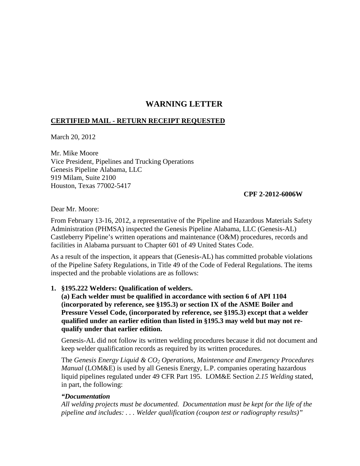# **WARNING LETTER**

# **CERTIFIED MAIL - RETURN RECEIPT REQUESTED**

March 20, 2012

Mr. Mike Moore Vice President, Pipelines and Trucking Operations Genesis Pipeline Alabama, LLC 919 Milam, Suite 2100 Houston, Texas 77002-5417

## **CPF 2-2012-6006W**

Dear Mr. Moore:

From February 13-16, 2012, a representative of the Pipeline and Hazardous Materials Safety Administration (PHMSA) inspected the Genesis Pipeline Alabama, LLC (Genesis-AL) Castleberry Pipeline's written operations and maintenance (O&M) procedures, records and facilities in Alabama pursuant to Chapter 601 of 49 United States Code.

As a result of the inspection, it appears that (Genesis-AL) has committed probable violations of the Pipeline Safety Regulations, in Title 49 of the Code of Federal Regulations. The items inspected and the probable violations are as follows:

## **1. §195.222 Welders: Qualification of welders.**

**(a) Each welder must be qualified in accordance with section 6 of API 1104 (incorporated by reference, see §195.3) or section IX of the ASME Boiler and Pressure Vessel Code, (incorporated by reference, see §195.3) except that a welder qualified under an earlier edition than listed in §195.3 may weld but may not requalify under that earlier edition.** 

Genesis-AL did not follow its written welding procedures because it did not document and keep welder qualification records as required by its written procedures.

The *Genesis Energy Liquid & CO2 Operations, Maintenance and Emergency Procedures Manual* (LOM&E) is used by all Genesis Energy, L.P. companies operating hazardous liquid pipelines regulated under 49 CFR Part 195. LOM&E Section *2.15 Welding* stated, in part, the following:

## *"Documentation*

*All welding projects must be documented. Documentation must be kept for the life of the pipeline and includes: . . . Welder qualification (coupon test or radiography results)"*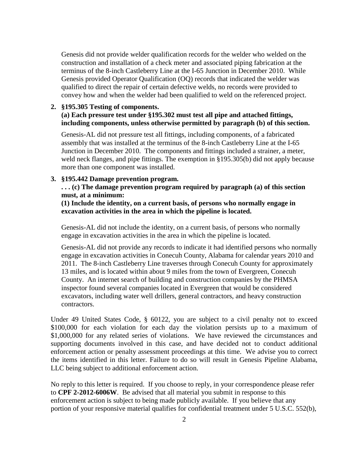Genesis did not provide welder qualification records for the welder who welded on the construction and installation of a check meter and associated piping fabrication at the terminus of the 8-inch Castleberry Line at the I-65 Junction in December 2010. While Genesis provided Operator Qualification (OQ) records that indicated the welder was qualified to direct the repair of certain defective welds, no records were provided to convey how and when the welder had been qualified to weld on the referenced project.

#### **2. §195.305 Testing of components. (a) Each pressure test under §195.302 must test all pipe and attached fittings, including components, unless otherwise permitted by paragraph (b) of this section.**

Genesis-AL did not pressure test all fittings, including components, of a fabricated assembly that was installed at the terminus of the 8-inch Castleberry Line at the I-65 Junction in December 2010. The components and fittings included a strainer, a meter, weld neck flanges, and pipe fittings. The exemption in §195.305(b) did not apply because more than one component was installed.

#### **3. §195.442 Damage prevention program.**

**. . . (c) The damage prevention program required by paragraph (a) of this section must, at a minimum:**

**(1) Include the identity, on a current basis, of persons who normally engage in excavation activities in the area in which the pipeline is located.**

Genesis-AL did not include the identity, on a current basis, of persons who normally engage in excavation activities in the area in which the pipeline is located.

Genesis-AL did not provide any records to indicate it had identified persons who normally engage in excavation activities in Conecuh County, Alabama for calendar years 2010 and 2011. The 8-inch Castleberry Line traverses through Conecuh County for approximately 13 miles, and is located within about 9 miles from the town of Evergreen, Conecuh County. An internet search of building and construction companies by the PHMSA inspector found several companies located in Evergreen that would be considered excavators, including water well drillers, general contractors, and heavy construction contractors.

Under 49 United States Code, § 60122, you are subject to a civil penalty not to exceed \$100,000 for each violation for each day the violation persists up to a maximum of \$1,000,000 for any related series of violations. We have reviewed the circumstances and supporting documents involved in this case, and have decided not to conduct additional enforcement action or penalty assessment proceedings at this time. We advise you to correct the items identified in this letter. Failure to do so will result in Genesis Pipeline Alabama, LLC being subject to additional enforcement action.

No reply to this letter is required. If you choose to reply, in your correspondence please refer to **CPF 2-2012-6006W**.Be advised that all material you submit in response to this enforcement action is subject to being made publicly available. If you believe that any portion of your responsive material qualifies for confidential treatment under 5 U.S.C. 552(b),